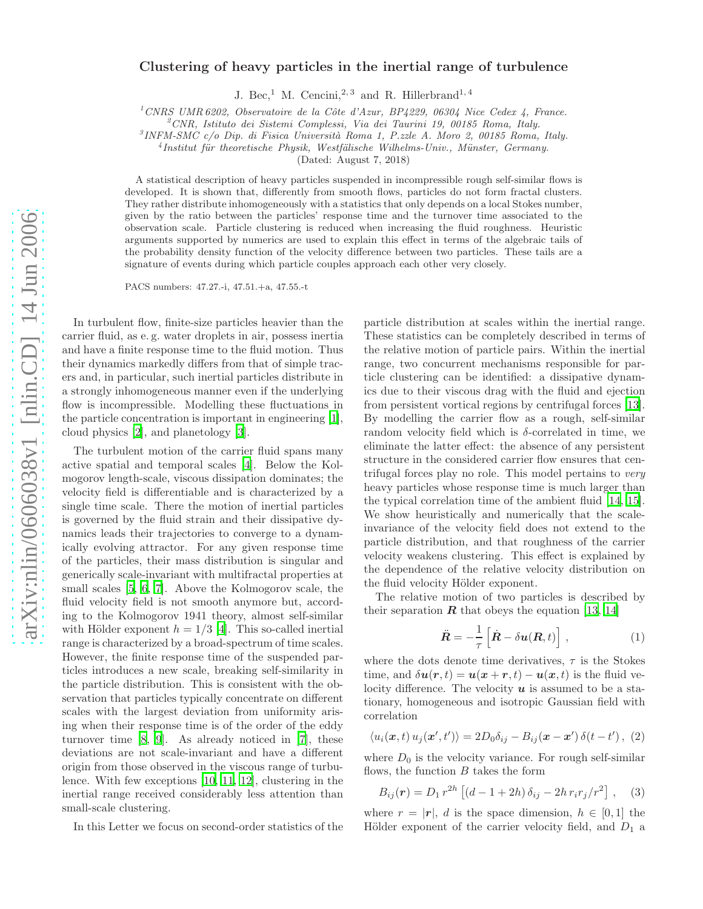## Clustering of heavy particles in the inertial range of turbulence

J. Bec,<sup>1</sup> M. Cencini,<sup>2, 3</sup> and R. Hillerbrand<sup>1, 4</sup>

<sup>1</sup>*CNRS UMR 6202, Observatoire de la Cˆote d'Azur, BP4229, 06304 Nice Cedex 4, France.*

<sup>2</sup>*CNR, Istituto dei Sistemi Complessi, Via dei Taurini 19, 00185 Roma, Italy.*

<sup>3</sup> INFM-SMC c/o Dip. di Fisica Università Roma 1, P.zzle A. Moro 2, 00185 Roma, Italy.

<sup>4</sup> Institut für theoretische Physik, Westfälische Wilhelms-Univ., Münster, Germany.

(Dated: August 7, 2018)

A statistical description of heavy particles suspended in incompressible rough self-similar flows is developed. It is shown that, differently from smooth flows, particles do not form fractal clusters. They rather distribute inhomogeneously with a statistics that only depends on a local Stokes number, given by the ratio between the particles' response time and the turnover time associated to the observation scale. Particle clustering is reduced when increasing the fluid roughness. Heuristic arguments supported by numerics are used to explain this effect in terms of the algebraic tails of the probability density function of the velocity difference between two particles. These tails are a signature of events during which particle couples approach each other very closely.

PACS numbers: 47.27.-i, 47.51.+a, 47.55.-t

In turbulent flow, finite-size particles heavier than the carrier fluid, as e. g. water droplets in air, possess inertia and have a finite response time to the fluid motion. Thus their dynamics markedly differs from that of simple tracers and, in particular, such inertial particles distribute in a strongly inhomogeneous manner even if the underlying flow is incompressible. Modelling these fluctuations in the particle concentration is important in engineering [\[1\]](#page-3-0), cloud physics [\[2\]](#page-3-1), and planetology [\[3](#page-3-2)].

The turbulent motion of the carrier fluid spans many active spatial and temporal scales [\[4\]](#page-3-3). Below the Kolmogorov length-scale, viscous dissipation dominates; the velocity field is differentiable and is characterized by a single time scale. There the motion of inertial particles is governed by the fluid strain and their dissipative dynamics leads their trajectories to converge to a dynamically evolving attractor. For any given response time of the particles, their mass distribution is singular and generically scale-invariant with multifractal properties at small scales [\[5,](#page-3-4) [6,](#page-3-5) [7\]](#page-3-6). Above the Kolmogorov scale, the fluid velocity field is not smooth anymore but, according to the Kolmogorov 1941 theory, almost self-similar with Hölder exponent  $h = 1/3$  [\[4\]](#page-3-3). This so-called inertial range is characterized by a broad-spectrum of time scales. However, the finite response time of the suspended particles introduces a new scale, breaking self-similarity in the particle distribution. This is consistent with the observation that particles typically concentrate on different scales with the largest deviation from uniformity arising when their response time is of the order of the eddy turnover time [\[8,](#page-3-7) [9\]](#page-3-8). As already noticed in [\[7](#page-3-6)], these deviations are not scale-invariant and have a different origin from those observed in the viscous range of turbulence. With few exceptions [\[10,](#page-3-9) [11,](#page-3-10) [12\]](#page-3-11), clustering in the inertial range received considerably less attention than small-scale clustering.

In this Letter we focus on second-order statistics of the

particle distribution at scales within the inertial range. These statistics can be completely described in terms of the relative motion of particle pairs. Within the inertial range, two concurrent mechanisms responsible for particle clustering can be identified: a dissipative dynamics due to their viscous drag with the fluid and ejection from persistent vortical regions by centrifugal forces [\[13\]](#page-3-12). By modelling the carrier flow as a rough, self-similar random velocity field which is δ-correlated in time, we eliminate the latter effect: the absence of any persistent structure in the considered carrier flow ensures that centrifugal forces play no role. This model pertains to very heavy particles whose response time is much larger than the typical correlation time of the ambient fluid [\[14,](#page-3-13) [15\]](#page-3-14). We show heuristically and numerically that the scaleinvariance of the velocity field does not extend to the particle distribution, and that roughness of the carrier velocity weakens clustering. This effect is explained by the dependence of the relative velocity distribution on the fluid velocity Hölder exponent.

The relative motion of two particles is described by their separation  $\boldsymbol{R}$  that obeys the equation [\[13](#page-3-12), [14](#page-3-13)]

<span id="page-0-0"></span>
$$
\ddot{\boldsymbol{R}} = -\frac{1}{\tau} \left[ \dot{\boldsymbol{R}} - \delta \boldsymbol{u}(\boldsymbol{R}, t) \right], \qquad (1)
$$

where the dots denote time derivatives,  $\tau$  is the Stokes time, and  $\delta u(\mathbf{r},t) = u(\mathbf{x} + \mathbf{r},t) - u(\mathbf{x},t)$  is the fluid velocity difference. The velocity  $u$  is assumed to be a stationary, homogeneous and isotropic Gaussian field with correlation

<span id="page-0-1"></span>
$$
\langle u_i(\boldsymbol{x},t) u_j(\boldsymbol{x}',t') \rangle = 2D_0 \delta_{ij} - B_{ij}(\boldsymbol{x}-\boldsymbol{x}') \,\delta(t-t') \,,\,\, (2)
$$

where  $D_0$  is the velocity variance. For rough self-similar flows, the function  $B$  takes the form

$$
B_{ij}(\mathbf{r}) = D_1 r^{2h} \left[ \left( d - 1 + 2h \right) \delta_{ij} - 2h r_i r_j / r^2 \right], \quad (3)
$$

where  $r = |\mathbf{r}|$ , d is the space dimension,  $h \in [0, 1]$  the Hölder exponent of the carrier velocity field, and  $D_1$  a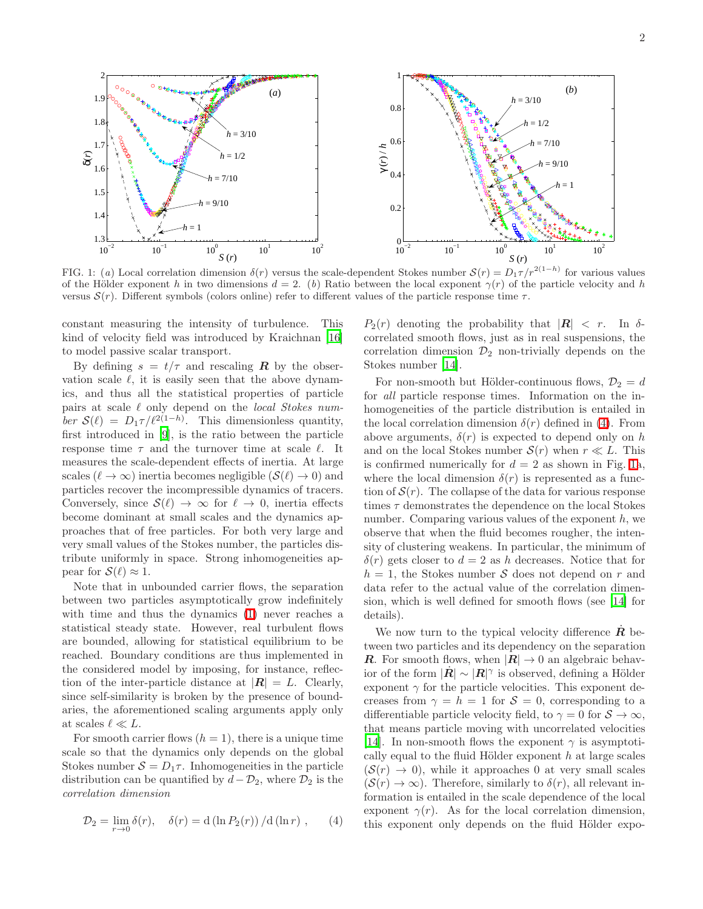

<span id="page-1-1"></span>FIG. 1: (*a*) Local correlation dimension  $\delta(r)$  versus the scale-dependent Stokes number  $\mathcal{S}(r) = D_1 \tau/r^{2(1-h)}$  for various values of the Hölder exponent h in two dimensions  $d = 2$ . (b) Ratio between the local exponent  $\gamma(r)$  of the particle velocity and h versus  $S(r)$ . Different symbols (colors online) refer to different values of the particle response time  $\tau$ .

constant measuring the intensity of turbulence. This kind of velocity field was introduced by Kraichnan [\[16](#page-3-15)] to model passive scalar transport.

By defining  $s = t/\tau$  and rescaling **R** by the observation scale  $\ell$ , it is easily seen that the above dynamics, and thus all the statistical properties of particle pairs at scale  $\ell$  only depend on the *local Stokes num*ber  $\mathcal{S}(\ell) = D_1 \tau / \ell^{2(1-h)}$ . This dimensionless quantity, first introduced in [\[9](#page-3-8)], is the ratio between the particle response time  $\tau$  and the turnover time at scale  $\ell$ . It measures the scale-dependent effects of inertia. At large scales ( $\ell \to \infty$ ) inertia becomes negligible  $(\mathcal{S}(\ell) \to 0)$  and particles recover the incompressible dynamics of tracers. Conversely, since  $\mathcal{S}(\ell) \to \infty$  for  $\ell \to 0$ , inertia effects become dominant at small scales and the dynamics approaches that of free particles. For both very large and very small values of the Stokes number, the particles distribute uniformly in space. Strong inhomogeneities appear for  $\mathcal{S}(\ell) \approx 1$ .

Note that in unbounded carrier flows, the separation between two particles asymptotically grow indefinitely with time and thus the dynamics [\(1\)](#page-0-0) never reaches a statistical steady state. However, real turbulent flows are bounded, allowing for statistical equilibrium to be reached. Boundary conditions are thus implemented in the considered model by imposing, for instance, reflection of the inter-particle distance at  $|R| = L$ . Clearly, since self-similarity is broken by the presence of boundaries, the aforementioned scaling arguments apply only at scales  $\ell \ll L$ .

For smooth carrier flows  $(h = 1)$ , there is a unique time scale so that the dynamics only depends on the global Stokes number  $S = D_1 \tau$ . Inhomogeneities in the particle distribution can be quantified by  $d - \mathcal{D}_2$ , where  $\mathcal{D}_2$  is the correlation dimension

<span id="page-1-0"></span>
$$
\mathcal{D}_2 = \lim_{r \to 0} \delta(r), \quad \delta(r) = d \left( \ln P_2(r) \right) / d \left( \ln r \right), \qquad (4)
$$

 $P_2(r)$  denoting the probability that  $|R| < r$ . In  $\delta$ correlated smooth flows, just as in real suspensions, the correlation dimension  $\mathcal{D}_2$  non-trivially depends on the Stokes number [\[14](#page-3-13)].

For non-smooth but Hölder-continuous flows,  $\mathcal{D}_2 = d$ for all particle response times. Information on the inhomogeneities of the particle distribution is entailed in the local correlation dimension  $\delta(r)$  defined in [\(4\)](#page-1-0). From above arguments,  $\delta(r)$  is expected to depend only on h and on the local Stokes number  $S(r)$  when  $r \ll L$ . This is confirmed numerically for  $d = 2$  as shown in Fig. [1a](#page-1-1), where the local dimension  $\delta(r)$  is represented as a function of  $S(r)$ . The collapse of the data for various response times  $\tau$  demonstrates the dependence on the local Stokes number. Comparing various values of the exponent  $h$ , we observe that when the fluid becomes rougher, the intensity of clustering weakens. In particular, the minimum of  $\delta(r)$  gets closer to  $d = 2$  as h decreases. Notice that for  $h = 1$ , the Stokes number S does not depend on r and data refer to the actual value of the correlation dimension, which is well defined for smooth flows (see [\[14\]](#page-3-13) for details).

We now turn to the typical velocity difference  $\boldsymbol{R}$  between two particles and its dependency on the separation **R**. For smooth flows, when  $|R| \to 0$  an algebraic behavior of the form  $|\dot{\mathbf{R}}| \sim |\mathbf{R}|^{\gamma}$  is observed, defining a Hölder exponent  $\gamma$  for the particle velocities. This exponent decreases from  $\gamma = h = 1$  for  $\mathcal{S} = 0$ , corresponding to a differentiable particle velocity field, to  $\gamma = 0$  for  $S \to \infty$ , that means particle moving with uncorrelated velocities [\[14\]](#page-3-13). In non-smooth flows the exponent  $\gamma$  is asymptotically equal to the fluid Hölder exponent  $h$  at large scales  $(S(r) \rightarrow 0)$ , while it approaches 0 at very small scales  $(S(r) \to \infty)$ . Therefore, similarly to  $\delta(r)$ , all relevant information is entailed in the scale dependence of the local exponent  $\gamma(r)$ . As for the local correlation dimension, this exponent only depends on the fluid Hölder expo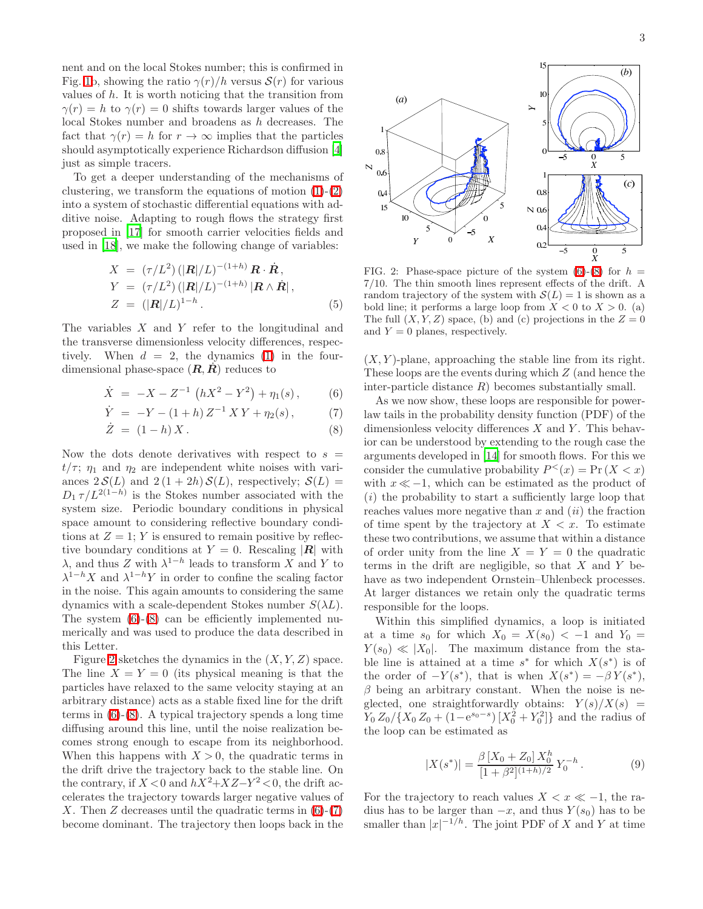nent and on the local Stokes number; this is confirmed in Fig. [1b](#page-1-1), showing the ratio  $\gamma(r)/h$  versus  $\mathcal{S}(r)$  for various values of  $h$ . It is worth noticing that the transition from  $\gamma(r) = h$  to  $\gamma(r) = 0$  shifts towards larger values of the local Stokes number and broadens as h decreases. The fact that  $\gamma(r) = h$  for  $r \to \infty$  implies that the particles should asymptotically experience Richardson diffusion [\[4](#page-3-3)] just as simple tracers.

To get a deeper understanding of the mechanisms of clustering, we transform the equations of motion  $(1)-(2)$  $(1)-(2)$ into a system of stochastic differential equations with additive noise. Adapting to rough flows the strategy first proposed in [\[17](#page-3-16)] for smooth carrier velocities fields and used in [\[18](#page-3-17)], we make the following change of variables:

$$
X = (\tau/L^2) \left( |\mathbf{R}|/L \right)^{-(1+h)} \mathbf{R} \cdot \dot{\mathbf{R}},
$$
  
\n
$$
Y = (\tau/L^2) \left( |\mathbf{R}|/L \right)^{-(1+h)} |\mathbf{R} \wedge \dot{\mathbf{R}}|,
$$
  
\n
$$
Z = (|\mathbf{R}|/L)^{1-h}.
$$
\n(5)

<span id="page-2-2"></span><span id="page-2-0"></span>The variables  $X$  and  $Y$  refer to the longitudinal and the transverse dimensionless velocity differences, respectively. When  $d = 2$ , the dynamics [\(1\)](#page-0-0) in the fourdimensional phase-space  $(R, R)$  reduces to

$$
\dot{X} = -X - Z^{-1} \left( hX^2 - Y^2 \right) + \eta_1(s) , \qquad (6)
$$

$$
\dot{Y} = -Y - (1+h) Z^{-1} X Y + \eta_2(s), \qquad (7)
$$

$$
\dot{Z} = (1 - h)X. \tag{8}
$$

Now the dots denote derivatives with respect to  $s =$  $t/\tau$ ;  $\eta_1$  and  $\eta_2$  are independent white noises with variances  $2 \mathcal{S}(L)$  and  $2 (1 + 2h) \mathcal{S}(L)$ , respectively;  $\mathcal{S}(L)$  =  $D_1 \tau / L^{2(1-h)}$  is the Stokes number associated with the system size. Periodic boundary conditions in physical space amount to considering reflective boundary conditions at  $Z = 1$ ; Y is ensured to remain positive by reflective boundary conditions at  $Y = 0$ . Rescaling |**R**| with  $\lambda$ , and thus  $\overline{Z}$  with  $\lambda^{1-h}$  leads to transform  $\overline{X}$  and  $\overline{Y}$  to  $\lambda^{1-h} X$  and  $\lambda^{1-h} Y$  in order to confine the scaling factor in the noise. This again amounts to considering the same dynamics with a scale-dependent Stokes number  $S(\lambda L)$ . The system [\(6\)](#page-2-0)-[\(8\)](#page-2-0) can be efficiently implemented numerically and was used to produce the data described in this Letter.

Figure [2](#page-2-1) sketches the dynamics in the  $(X, Y, Z)$  space. The line  $X = Y = 0$  (its physical meaning is that the particles have relaxed to the same velocity staying at an arbitrary distance) acts as a stable fixed line for the drift terms in [\(6\)](#page-2-0)-[\(8\)](#page-2-0). A typical trajectory spends a long time diffusing around this line, until the noise realization becomes strong enough to escape from its neighborhood. When this happens with  $X > 0$ , the quadratic terms in the drift drive the trajectory back to the stable line. On the contrary, if  $X < 0$  and  $hX^2 + XZ - Y^2 < 0$ , the drift accelerates the trajectory towards larger negative values of X. Then Z decreases until the quadratic terms in  $(6)-(7)$  $(6)-(7)$ become dominant. The trajectory then loops back in the



<span id="page-2-1"></span>FIG. 2: Phase-space picture of the system  $(6)-(8)$  $(6)-(8)$  for  $h =$ 7/10. The thin smooth lines represent effects of the drift. A random trajectory of the system with  $\mathcal{S}(L) = 1$  is shown as a bold line; it performs a large loop from  $X < 0$  to  $X > 0$ . (a) The full  $(X, Y, Z)$  space, (b) and (c) projections in the  $Z = 0$ and  $Y = 0$  planes, respectively.

 $(X, Y)$ -plane, approaching the stable line from its right. These loops are the events during which Z (and hence the inter-particle distance  $R$ ) becomes substantially small.

As we now show, these loops are responsible for powerlaw tails in the probability density function (PDF) of the dimensionless velocity differences  $X$  and  $Y$ . This behavior can be understood by extending to the rough case the arguments developed in [\[14](#page-3-13)] for smooth flows. For this we consider the cumulative probability  $P^<(x) = \Pr(X < x)$ with  $x \ll -1$ , which can be estimated as the product of  $(i)$  the probability to start a sufficiently large loop that reaches values more negative than  $x$  and  $(ii)$  the fraction of time spent by the trajectory at  $X < x$ . To estimate these two contributions, we assume that within a distance of order unity from the line  $X = Y = 0$  the quadratic terms in the drift are negligible, so that  $X$  and  $Y$  behave as two independent Ornstein–Uhlenbeck processes. At larger distances we retain only the quadratic terms responsible for the loops.

Within this simplified dynamics, a loop is initiated at a time  $s_0$  for which  $X_0 = X(s_0) < -1$  and  $Y_0 =$  $Y(s_0) \ll |X_0|$ . The maximum distance from the stable line is attained at a time  $s^*$  for which  $X(s^*)$  is of the order of  $-Y(s^*)$ , that is when  $X(s^*) = -\beta Y(s^*)$ ,  $\beta$  being an arbitrary constant. When the noise is neglected, one straightforwardly obtains:  $Y(s)/X(s)$  =  $Y_0 Z_0 / \{X_0 Z_0 + (1 - e^{s_0 - s}) [X_0^2 + Y_0^2]\}\$ and the radius of the loop can be estimated as

$$
|X(s^*)| = \frac{\beta \left[X_0 + Z_0\right] X_0^h}{\left[1 + \beta^2\right]^{(1+h)/2}} Y_0^{-h} . \tag{9}
$$

For the trajectory to reach values  $X < x \ll -1$ , the radius has to be larger than  $-x$ , and thus  $Y(s_0)$  has to be smaller than  $|x|^{-1/h}$ . The joint PDF of X and Y at time